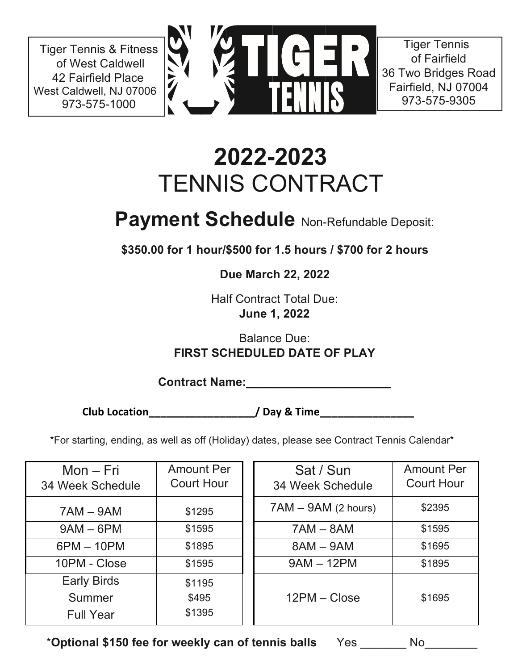Tiger Tennis & Fitness of West Caldwell 42 Fairfield Place West Caldwell, NJ 07006 973-575-1000



Tiger Tennis of Fairfield 36 Two Bridges Road Fairfield, NJ 07004 973-575-9305

## **2022-2023** TENNIS CONTRACT

## **Payment Schedule** Non-Refundable Deposit:

**\$350.00 for 1 hour/\$500 for 1.5 hours / \$700 for 2 hours**

**Due March 22, 2022**

Half Contract Total Due: **June 1, 2022**

Balance Due: **FIRST SCHEDULED DATE OF PLAY**

**Contract Name:\_\_\_\_\_\_\_\_\_\_\_\_\_\_\_\_\_\_\_\_\_\_**

**Club Location\_\_\_\_\_\_\_\_\_\_\_\_\_\_\_\_\_\_/ Day & Time\_\_\_\_\_\_\_\_\_\_\_\_\_\_\_\_**

\*For starting, ending, as well as off (Holiday) dates, please see Contract Tennis Calendar\*

| $Mon-Fri$<br>34 Week Schedule | <b>Amount Per</b><br><b>Court Hour</b> | Sat / Sun<br>34 Week Schedule | <b>Amount Per</b><br><b>Court Hour</b> |
|-------------------------------|----------------------------------------|-------------------------------|----------------------------------------|
| $7AM - 9AM$                   | \$1295                                 | $7AM - 9AM$ (2 hours)         | \$2395                                 |
| $9AM - 6PM$                   | \$1595                                 | $7AM - 8AM$                   | \$1595                                 |
| $6PM - 10PM$                  | \$1895                                 | $8AM - 9AM$                   | \$1695                                 |
| 10PM - Close                  | \$1595                                 | $9AM - 12PM$                  | \$1895                                 |
| <b>Early Birds</b>            | \$1195                                 |                               |                                        |
| Summer                        | \$495                                  | $12PM - Close$                | \$1695                                 |
| <b>Full Year</b>              | \$1395                                 |                               |                                        |

\***Optional \$150 fee for weekly can of tennis balls** Yes \_\_\_\_\_\_\_ No\_\_\_\_\_\_\_\_